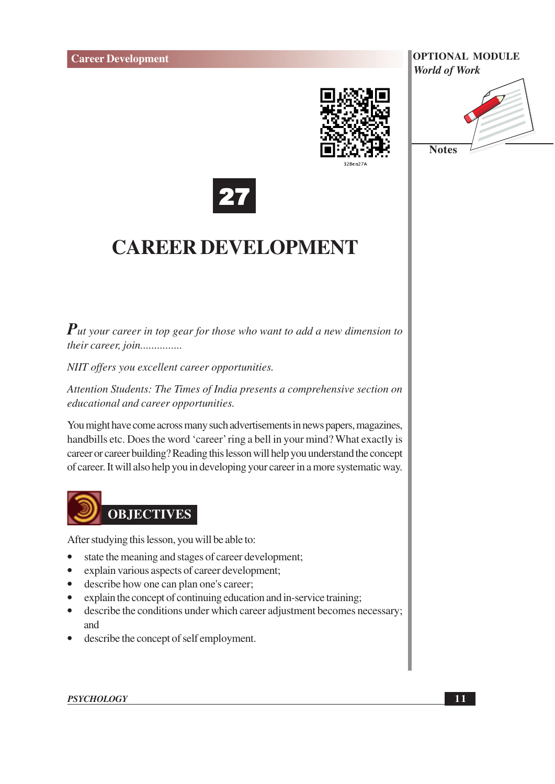





# **CAREER DEVELOPMENT**

 $P$ ut your career in top gear for those who want to add a new dimension to their career, join...............

NIIT offers you excellent career opportunities.

Attention Students: The Times of India presents a comprehensive section on educational and career opportunities.

You might have come across many such advertisements in news papers, magazines, handbills etc. Does the word 'career' ring a bell in your mind? What exactly is career or career building? Reading this lesson will help you understand the concept of career. It will also help you in developing your career in a more systematic way.



After studying this lesson, you will be able to:

- state the meaning and stages of career development;
- explain various aspects of career development;  $\bullet$
- describe how one can plan one's career;  $\bullet$
- explain the concept of continuing education and in-service training;  $\bullet$
- $\bullet$ describe the conditions under which career adjustment becomes necessary; and
- describe the concept of self employment.  $\bullet$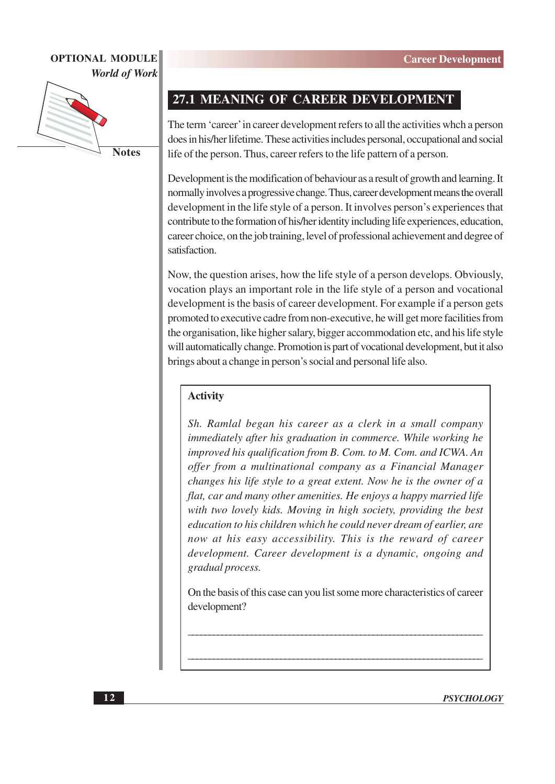

**Notes** 

## 27.1 MEANING OF CAREER DEVELOPMENT

The term 'career' in career development refers to all the activities whch a person does in his/her lifetime. These activities includes personal, occupational and social life of the person. Thus, career refers to the life pattern of a person.

Development is the modification of behaviour as a result of growth and learning. It normally involves a progressive change. Thus, career development means the overall development in the life style of a person. It involves person's experiences that contribute to the formation of his/her identity including life experiences, education, career choice, on the job training, level of professional achievement and degree of satisfaction.

Now, the question arises, how the life style of a person develops. Obviously, vocation plays an important role in the life style of a person and vocational development is the basis of career development. For example if a person gets promoted to executive cadre from non-executive, he will get more facilities from the organisation, like higher salary, bigger accommodation etc, and his life style will automatically change. Promotion is part of vocational development, but it also brings about a change in person's social and personal life also.

#### **Activity**

Sh. Ramlal began his career as a clerk in a small company immediately after his graduation in commerce. While working he improved his qualification from B. Com. to M. Com. and ICWA. An offer from a multinational company as a Financial Manager changes his life style to a great extent. Now he is the owner of a flat, car and many other amenities. He enjoys a happy married life with two lovely kids. Moving in high society, providing the best education to his children which he could never dream of earlier, are now at his easy accessibility. This is the reward of career development. Career development is a dynamic, ongoing and gradual process.

On the basis of this case can you list some more characteristics of career development?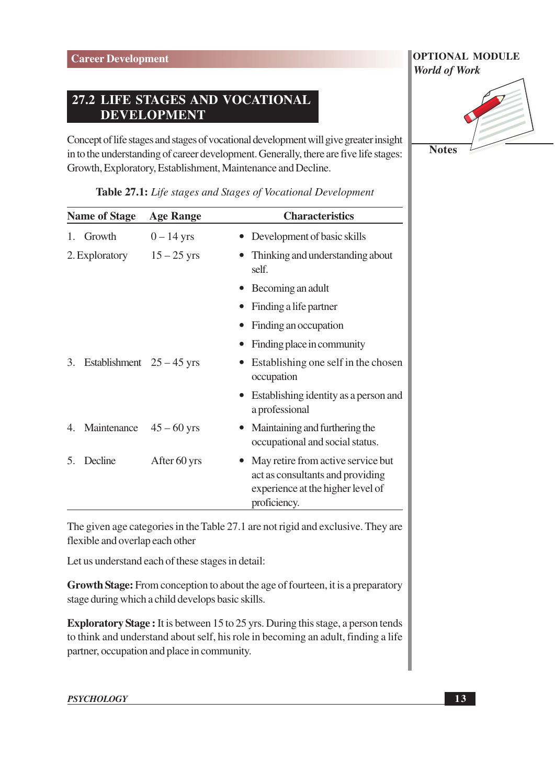## 27.2 LIFE STAGES AND VOCATIONAL **DEVELOPMENT**

Concept of life stages and stages of vocational development will give greater insight in to the understanding of career development. Generally, there are five life stages: Growth, Exploratory, Establishment, Maintenance and Decline.

| <b>Name of Stage</b> |                             | <b>Age Range</b> | <b>Characteristics</b>                                                                                                                   |  |
|----------------------|-----------------------------|------------------|------------------------------------------------------------------------------------------------------------------------------------------|--|
| 1.                   | Growth                      | $0-14$ yrs       | Development of basic skills                                                                                                              |  |
| 2. Exploratory       |                             | $15 - 25$ yrs    | Thinking and understanding about<br>self.                                                                                                |  |
|                      |                             |                  | Becoming an adult                                                                                                                        |  |
|                      |                             |                  | Finding a life partner                                                                                                                   |  |
|                      |                             |                  | Finding an occupation                                                                                                                    |  |
|                      |                             |                  | Finding place in community                                                                                                               |  |
| 3.                   | Establishment $25 - 45$ yrs |                  | Establishing one self in the chosen<br>occupation                                                                                        |  |
|                      |                             |                  | Establishing identity as a person and<br>$\bullet$<br>a professional                                                                     |  |
| 4.                   | Maintenance                 | $45 - 60$ yrs    | Maintaining and furthering the<br>occupational and social status.                                                                        |  |
| 5.                   | Decline                     | After 60 yrs     | May retire from active service but<br>$\bullet$<br>act as consultants and providing<br>experience at the higher level of<br>proficiency. |  |

Table 27.1: Life stages and Stages of Vocational Development

The given age categories in the Table 27.1 are not rigid and exclusive. They are flexible and overlap each other

Let us understand each of these stages in detail:

Growth Stage: From conception to about the age of fourteen, it is a preparatory stage during which a child develops basic skills.

**Exploratory Stage:** It is between 15 to 25 yrs. During this stage, a person tends to think and understand about self, his role in becoming an adult, finding a life partner, occupation and place in community.

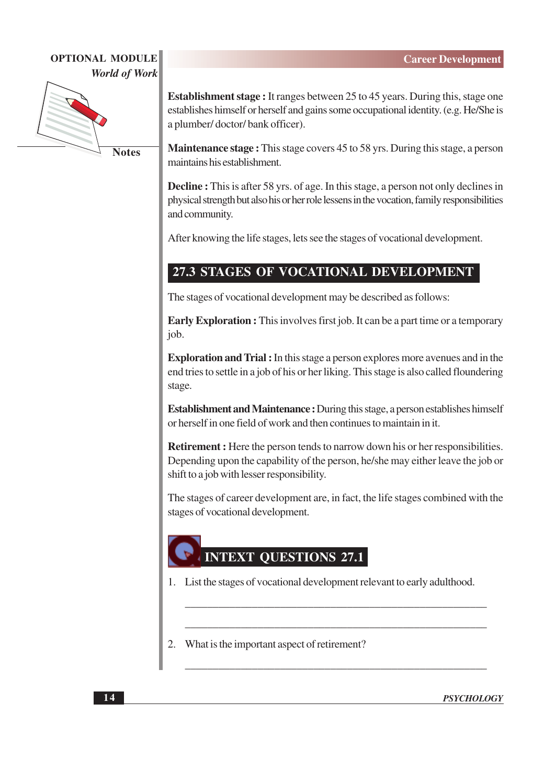

**Notes** 

**Establishment stage:** It ranges between 25 to 45 years. During this, stage one establishes himself or herself and gains some occupational identity. (e.g. He/She is a plumber/doctor/bank officer).

**Maintenance stage:** This stage covers 45 to 58 yrs. During this stage, a person maintains his establishment.

**Decline**: This is after 58 yrs. of age. In this stage, a person not only declines in physical strength but also his or her role lessens in the vocation, family responsibilities and community.

After knowing the life stages, lets see the stages of vocational development.

# 27.3 STAGES OF VOCATIONAL DEVELOPMENT

The stages of vocational development may be described as follows:

**Early Exploration :** This involves first job. It can be a part time or a temporary iob.

**Exploration and Trial :** In this stage a person explores more avenues and in the end tries to settle in a job of his or her liking. This stage is also called floundering stage.

**Establishment and Maintenance :** During this stage, a person establishes himself or herself in one field of work and then continues to maintain in it.

**Retirement :** Here the person tends to narrow down his or her responsibilities. Depending upon the capability of the person, he/she may either leave the job or shift to a job with lesser responsibility.

The stages of career development are, in fact, the life stages combined with the stages of vocational development.

# **INTEXT QUESTIONS 27.1**

- 1. List the stages of vocational development relevant to early adulthood.
- 2. What is the important aspect of retirement?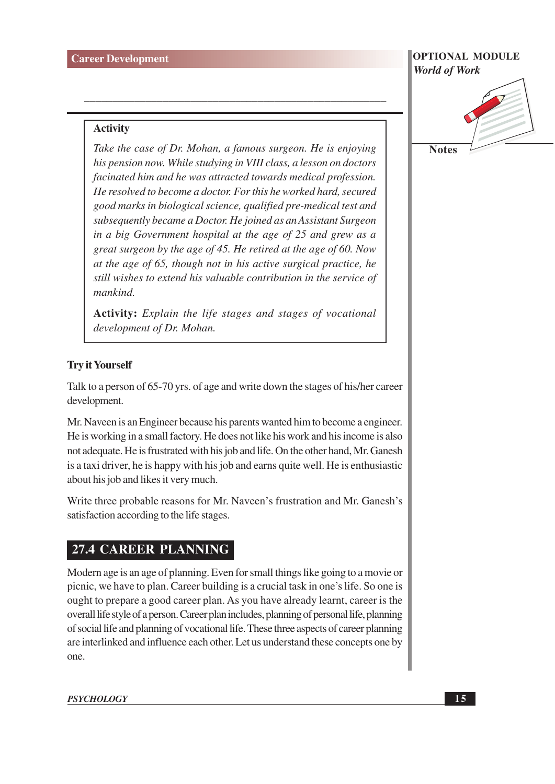# **OPTIONAL MODULE**

#### **Activity**

Take the case of Dr. Mohan, a famous surgeon. He is enjoying his pension now. While studying in VIII class, a lesson on doctors facinated him and he was attracted towards medical profession. He resolved to become a doctor. For this he worked hard, secured good marks in biological science, qualified pre-medical test and subsequently became a Doctor. He joined as an Assistant Surgeon in a big Government hospital at the age of 25 and grew as a great surgeon by the age of 45. He retired at the age of 60. Now at the age of 65, though not in his active surgical practice, he still wishes to extend his valuable contribution in the service of mankind

**Activity:** Explain the life stages and stages of vocational development of Dr. Mohan.

#### **Try it Yourself**

Talk to a person of 65-70 yrs. of age and write down the stages of his/her career development.

Mr. Naveen is an Engineer because his parents wanted him to become a engineer. He is working in a small factory. He does not like his work and his income is also not adequate. He is frustrated with his job and life. On the other hand, Mr. Ganesh is a taxi driver, he is happy with his job and earns quite well. He is enthusiastic about his job and likes it very much.

Write three probable reasons for Mr. Naveen's frustration and Mr. Ganesh's satisfaction according to the life stages.

#### **27.4 CAREER PLANNING**

Modern age is an age of planning. Even for small things like going to a movie or picnic, we have to plan. Career building is a crucial task in one's life. So one is ought to prepare a good career plan. As you have already learnt, career is the overall life style of a person. Career plan includes, planning of personal life, planning of social life and planning of vocational life. These three aspects of career planning are interlinked and influence each other. Let us understand these concepts one by one.



**PSYCHOLOGY**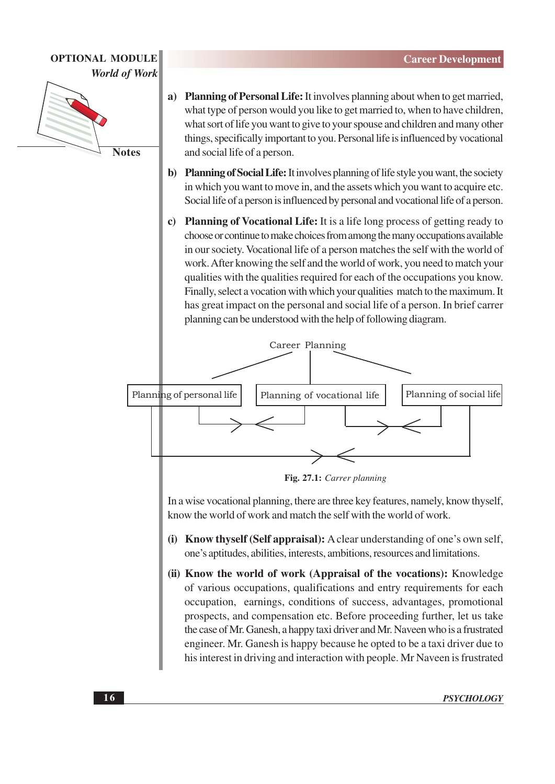

- a) Planning of Personal Life: It involves planning about when to get married, what type of person would you like to get married to, when to have children, what sort of life you want to give to your spouse and children and many other things, specifically important to you. Personal life is influenced by vocational and social life of a person.
- b) Planning of Social Life: It involves planning of life style you want, the society in which you want to move in, and the assets which you want to acquire etc. Social life of a person is influenced by personal and vocational life of a person.
- c) Planning of Vocational Life: It is a life long process of getting ready to choose or continue to make choices from among the many occupations available in our society. Vocational life of a person matches the self with the world of work. After knowing the self and the world of work, you need to match your qualities with the qualities required for each of the occupations you know. Finally, select a vocation with which your qualities match to the maximum. It has great impact on the personal and social life of a person. In brief carrer planning can be understood with the help of following diagram.



Fig. 27.1: Carrer planning

In a wise vocational planning, there are three key features, namely, know thyself, know the world of work and match the self with the world of work.

- (i) Know thyself (Self appraisal): A clear understanding of one's own self, one's aptitudes, abilities, interests, ambitions, resources and limitations.
- (ii) Know the world of work (Appraisal of the vocations): Knowledge of various occupations, qualifications and entry requirements for each occupation, earnings, conditions of success, advantages, promotional prospects, and compensation etc. Before proceeding further, let us take the case of Mr. Ganesh, a happy taxi driver and Mr. Naveen who is a frustrated engineer. Mr. Ganesh is happy because he opted to be a taxi driver due to his interest in driving and interaction with people. Mr Naveen is frustrated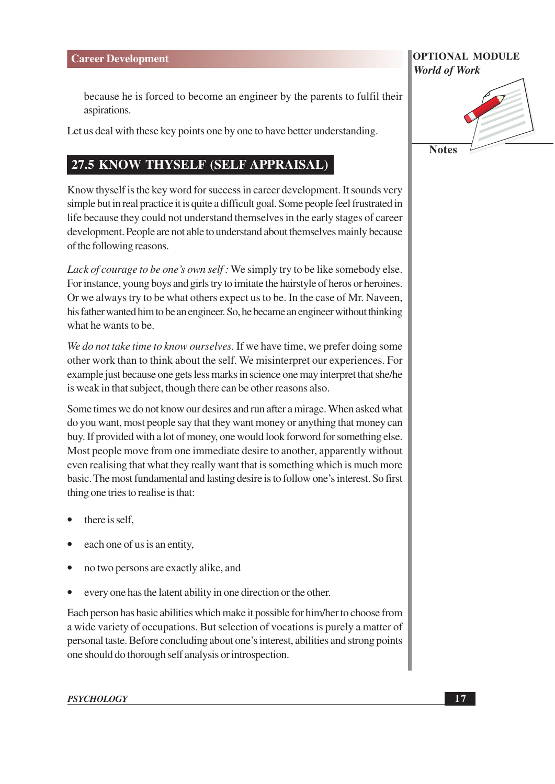because he is forced to become an engineer by the parents to fulfil their aspirations.

Let us deal with these key points one by one to have better understanding.

# 27.5 KNOW THYSELF (SELF APPRAISAL)

Know thyself is the key word for success in career development. It sounds very simple but in real practice it is quite a difficult goal. Some people feel frustrated in life because they could not understand themselves in the early stages of career development. People are not able to understand about themselves mainly because of the following reasons.

Lack of courage to be one's own self: We simply try to be like somebody else. For instance, young boys and girls try to imitate the hairstyle of heros or heroines. Or we always try to be what others expect us to be. In the case of Mr. Naveen, his father wanted him to be an engineer. So, he became an engineer without thinking what he wants to be.

We do not take time to know ourselves. If we have time, we prefer doing some other work than to think about the self. We misinterpret our experiences. For example just because one gets less marks in science one may interpret that she/he is weak in that subject, though there can be other reasons also.

Some times we do not know our desires and run after a mirage. When asked what do you want, most people say that they want money or anything that money can buy. If provided with a lot of money, one would look forword for something else. Most people move from one immediate desire to another, apparently without even realising that what they really want that is something which is much more basic. The most fundamental and lasting desire is to follow one's interest. So first thing one tries to realise is that:

- there is self.
- each one of us is an entity,
- no two persons are exactly alike, and
- every one has the latent ability in one direction or the other.

Each person has basic abilities which make it possible for him/her to choose from a wide variety of occupations. But selection of vocations is purely a matter of personal taste. Before concluding about one's interest, abilities and strong points one should do thorough self analysis or introspection.

#### **OPTIONAL MODULE World of Work**

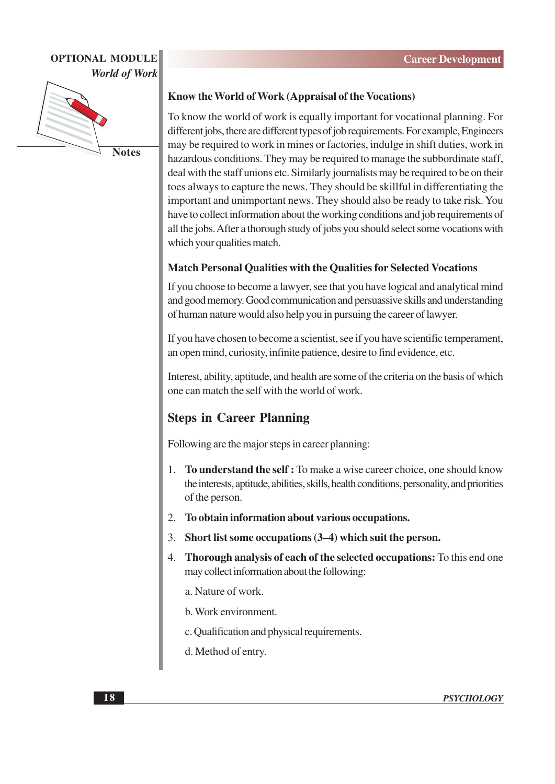

#### Know the World of Work (Appraisal of the Vocations)

To know the world of work is equally important for vocational planning. For different jobs, there are different types of job requirements. For example, Engineers may be required to work in mines or factories, indulge in shift duties, work in hazardous conditions. They may be required to manage the subbordinate staff, deal with the staff unions etc. Similarly journalists may be required to be on their toes always to capture the news. They should be skillful in differentiating the important and unimportant news. They should also be ready to take risk. You have to collect information about the working conditions and job requirements of all the jobs. After a thorough study of jobs you should select some vocations with which your qualities match.

#### **Match Personal Qualities with the Qualities for Selected Vocations**

If you choose to become a lawyer, see that you have logical and analytical mind and good memory. Good communication and persuassive skills and understanding of human nature would also help you in pursuing the career of lawyer.

If you have chosen to become a scientist, see if you have scientific temperament, an open mind, curiosity, infinite patience, desire to find evidence, etc.

Interest, ability, aptitude, and health are some of the criteria on the basis of which one can match the self with the world of work.

## **Steps in Career Planning**

Following are the major steps in career planning:

- To understand the self: To make a wise career choice, one should know 1. the interests, aptitude, abilities, skills, health conditions, personality, and priorities of the person.
- To obtain information about various occupations.  $2.$
- $\mathcal{E}$ Short list some occupations (3–4) which suit the person.
- 4. Thorough analysis of each of the selected occupations: To this end one may collect information about the following:
	- a. Nature of work.
	- b. Work environment.
	- c. Qualification and physical requirements.
	- d. Method of entry.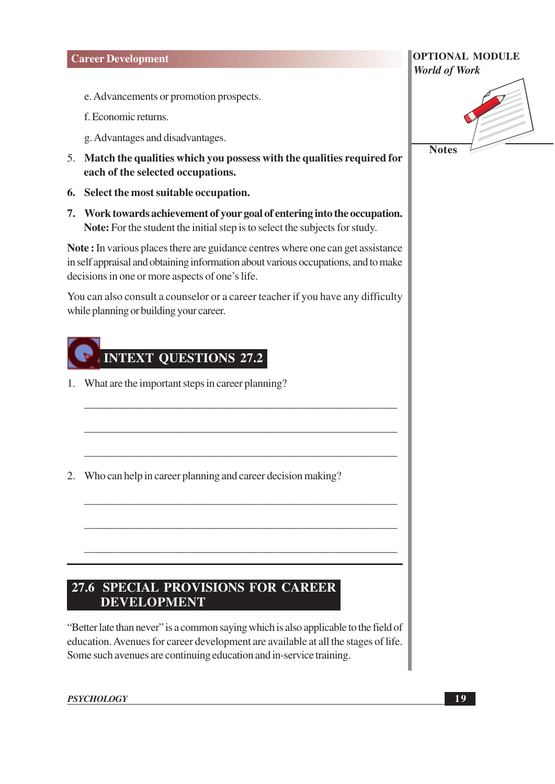#### **Career Development**

- e. Advancements or promotion prospects.
- f. Economic returns.
- g. Advantages and disadvantages.
- 5. Match the qualities which you possess with the qualities required for each of the selected occupations.
- 6. Select the most suitable occupation.
- 7. Work towards achievement of your goal of entering into the occupation. Note: For the student the initial step is to select the subjects for study.

Note: In various places there are guidance centres where one can get assistance in self appraisal and obtaining information about various occupations, and to make decisions in one or more aspects of one's life.

You can also consult a counselor or a career teacher if you have any difficulty while planning or building your career.

# INTEXT QUESTIONS 27.2

1. What are the important steps in career planning?

2. Who can help in career planning and career decision making?

## 27.6 SPECIAL PROVISIONS FOR CAREER **DEVELOPMENT**

"Better late than never" is a common saying which is also applicable to the field of education. Avenues for career development are available at all the stages of life. Some such avenues are continuing education and in-service training.

# **OPTIONAL MODULE World of Work**

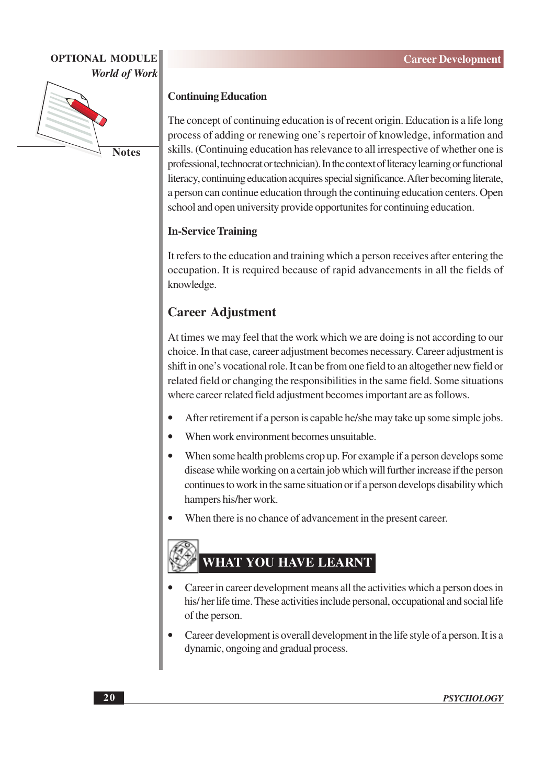

#### **Continuing Education**

The concept of continuing education is of recent origin. Education is a life long process of adding or renewing one's repertoir of knowledge, information and skills. (Continuing education has relevance to all irrespective of whether one is professional, technocrat or technician). In the context of literacy learning or functional literacy, continuing education acquires special significance. After becoming literate, a person can continue education through the continuing education centers. Open school and open university provide opportunities for continuing education.

#### **In-Service Training**

It refers to the education and training which a person receives after entering the occupation. It is required because of rapid advancements in all the fields of knowledge.

### **Career Adjustment**

At times we may feel that the work which we are doing is not according to our choice. In that case, career adjustment becomes necessary. Career adjustment is shift in one's vocational role. It can be from one field to an altogether new field or related field or changing the responsibilities in the same field. Some situations where career related field adjustment becomes important are as follows.

- After retirement if a person is capable he/she may take up some simple jobs.
- When work environment becomes unsuitable.
- When some health problems crop up. For example if a person develops some disease while working on a certain job which will further increase if the person continues to work in the same situation or if a person develops disability which hampers his/her work.
- When there is no chance of advancement in the present career.

# **WHAT YOU HAVE LEARNT**

- Career in career development means all the activities which a person does in his/her life time. These activities include personal, occupational and social life of the person.
- Career development is overall development in the life style of a person. It is a dynamic, ongoing and gradual process.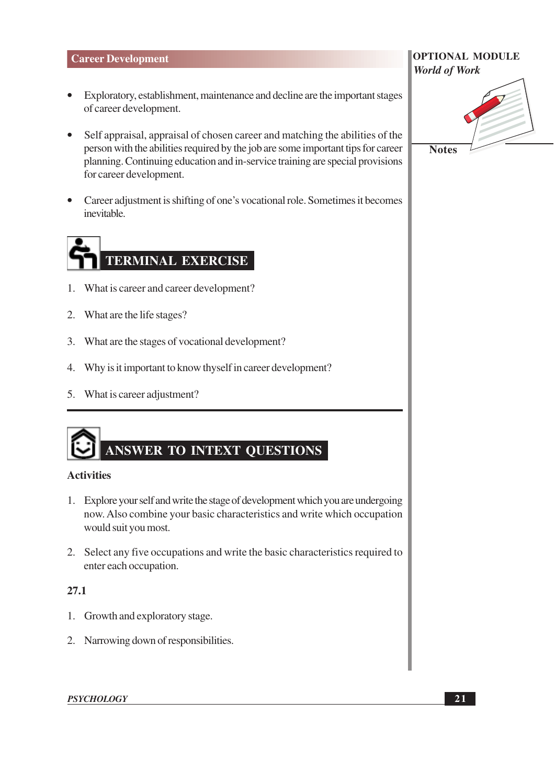#### **Career Development**

- Exploratory, establishment, maintenance and decline are the important stages  $\bullet$ of career development.
- Self appraisal, appraisal of chosen career and matching the abilities of the  $\bullet$ person with the abilities required by the job are some important tips for career planning. Continuing education and in-service training are special provisions for career development.
- Career adjustment is shifting of one's vocational role. Sometimes it becomes  $\bullet$ inevitable.

# **TERMINAL EXERCISE**

- 1. What is career and career development?
- 2. What are the life stages?
- 3. What are the stages of vocational development?
- 4. Why is it important to know thy self in career development?
- 5. What is career adjustment?



#### **Activities**

- 1. Explore your self and write the stage of development which you are undergoing now. Also combine your basic characteristics and write which occupation would suit you most.
- 2. Select any five occupations and write the basic characteristics required to enter each occupation.

#### 27.1

- 1. Growth and exploratory stage.
- 2. Narrowing down of responsibilities.

# **OPTIONAL MODULE World of Work**

**Notes** 

**PSYCHOLOGY**